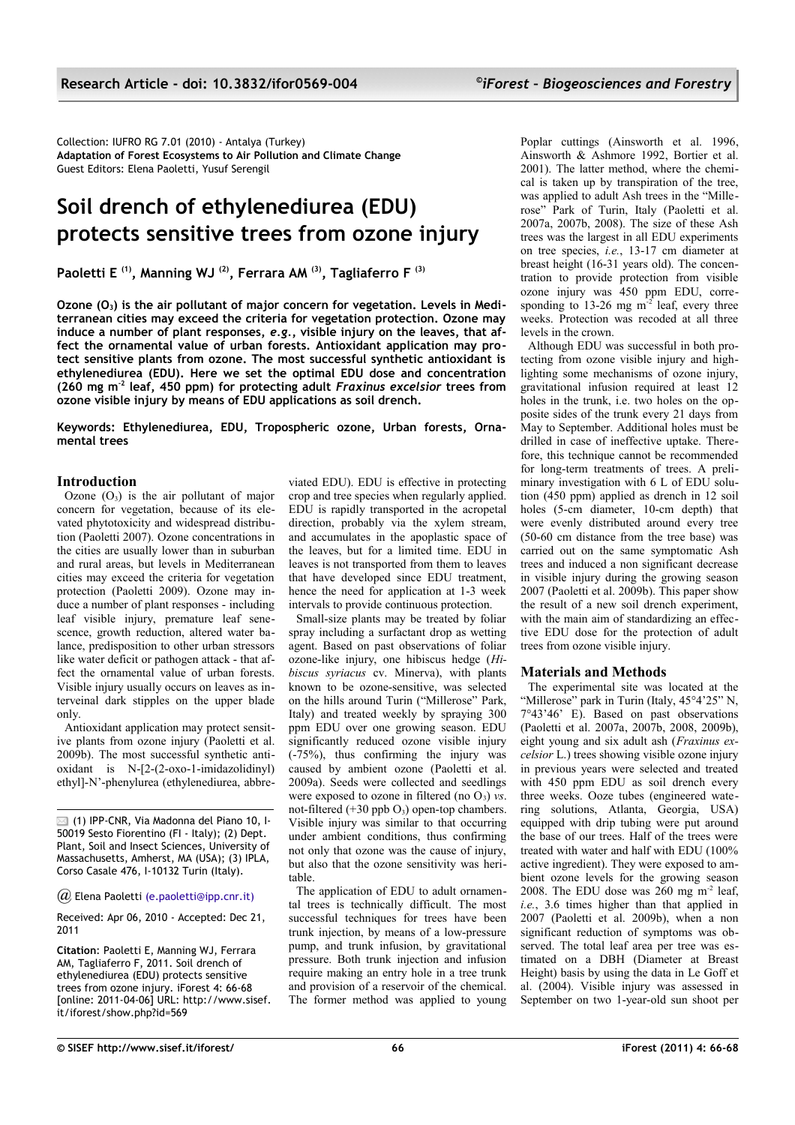Collection: IUFRO RG 7.01 (2010) - Antalya (Turkey) **Adaptation of Forest Ecosystems to Air Pollution and Climate Change** Guest Editors: Elena Paoletti, Yusuf Serengil

# **Soil drench of ethylenediurea (EDU) protects sensitive trees from ozone injury**

**Paoletti E (1), Manning WJ (2), Ferrara AM (3), Tagliaferro F (3)**

**Ozone (O3) is the air pollutant of major concern for vegetation. Levels in Mediterranean cities may exceed the criteria for vegetation protection. Ozone may induce a number of plant responses,** *e.g.***, visible injury on the leaves, that affect the ornamental value of urban forests. Antioxidant application may protect sensitive plants from ozone. The most successful synthetic antioxidant is ethylenediurea (EDU). Here we set the optimal EDU dose and concentration (260 mg m-2 leaf, 450 ppm) for protecting adult** *Fraxinus excelsior* **trees from ozone visible injury by means of EDU applications as soil drench.**

**Keywords: Ethylenediurea, EDU, Tropospheric ozone, Urban forests, Ornamental trees**

## **Introduction**

Ozone  $(O_3)$  is the air pollutant of major concern for vegetation, because of its elevated phytotoxicity and widespread distribution (Paoletti 2007). Ozone concentrations in the cities are usually lower than in suburban and rural areas, but levels in Mediterranean cities may exceed the criteria for vegetation protection (Paoletti 2009). Ozone may induce a number of plant responses - including leaf visible injury, premature leaf senescence, growth reduction, altered water balance, predisposition to other urban stressors like water deficit or pathogen attack - that affect the ornamental value of urban forests. Visible injury usually occurs on leaves as interveinal dark stipples on the upper blade only.

Antioxidant application may protect sensitive plants from ozone injury (Paoletti et al. 2009b). The most successful synthetic antioxidant is N-[2-(2-oxo-1-imidazolidinyl) ethyl]-N'-phenylurea (ethylenediurea, abbre-

 $\boxtimes$  (1) IPP-CNR, Via Madonna del Piano 10, I-50019 Sesto Fiorentino (FI - Italy); (2) Dept. Plant, Soil and Insect Sciences, University of Massachusetts, Amherst, MA (USA); (3) IPLA, Corso Casale 476, I-10132 Turin (Italy).

*@* Elena Paolett[i \(e.paoletti@ipp.cnr.it\)](mailto:e.paoletti@ipp.cnr.it)

Received: Apr 06, 2010 - Accepted: Dec 21, 2011

**Citation**: Paoletti E, Manning WJ, Ferrara AM, Tagliaferro F, 2011. Soil drench of ethylenediurea (EDU) protects sensitive trees from ozone injury. iForest 4: 66-68 [online: 2011-04-06] URL: http://www.sisef. it/iforest/show.php?id=569

viated EDU). EDU is effective in protecting crop and tree species when regularly applied. EDU is rapidly transported in the acropetal direction, probably via the xylem stream. and accumulates in the apoplastic space of the leaves, but for a limited time. EDU in leaves is not transported from them to leaves that have developed since EDU treatment, hence the need for application at 1-3 week intervals to provide continuous protection.

Small-size plants may be treated by foliar spray including a surfactant drop as wetting agent. Based on past observations of foliar ozone-like injury, one hibiscus hedge (*Hibiscus syriacus* cv. Minerva), with plants known to be ozone-sensitive, was selected on the hills around Turin ("Millerose" Park, Italy) and treated weekly by spraying 300 ppm EDU over one growing season. EDU significantly reduced ozone visible injury (-75%), thus confirming the injury was caused by ambient ozone (Paoletti et al. 2009a). Seeds were collected and seedlings were exposed to ozone in filtered (no  $O_3$ ) *vs.* not-filtered  $(+30$  ppb  $O<sub>3</sub>)$  open-top chambers. Visible injury was similar to that occurring under ambient conditions, thus confirming not only that ozone was the cause of injury, but also that the ozone sensitivity was heritable.

The application of EDU to adult ornamental trees is technically difficult. The most successful techniques for trees have been trunk injection, by means of a low-pressure pump, and trunk infusion, by gravitational pressure. Both trunk injection and infusion require making an entry hole in a tree trunk and provision of a reservoir of the chemical. The former method was applied to young Poplar cuttings (Ainsworth et al. 1996, Ainsworth & Ashmore 1992, Bortier et al. 2001). The latter method, where the chemical is taken up by transpiration of the tree, was applied to adult Ash trees in the "Millerose" Park of Turin, Italy (Paoletti et al. 2007a, 2007b, 2008). The size of these Ash trees was the largest in all EDU experiments on tree species, *i.e.*, 13-17 cm diameter at breast height (16-31 years old). The concentration to provide protection from visible ozone injury was 450 ppm EDU, corresponding to 13-26 mg  $m<sup>2</sup>$  leaf, every three weeks. Protection was recoded at all three levels in the crown.

Although EDU was successful in both protecting from ozone visible injury and highlighting some mechanisms of ozone injury, gravitational infusion required at least 12 holes in the trunk, i.e. two holes on the opposite sides of the trunk every 21 days from May to September. Additional holes must be drilled in case of ineffective uptake. Therefore, this technique cannot be recommended for long-term treatments of trees. A preliminary investigation with  $6$  L of EDU solution (450 ppm) applied as drench in 12 soil holes (5-cm diameter, 10-cm depth) that were evenly distributed around every tree (50-60 cm distance from the tree base) was carried out on the same symptomatic Ash trees and induced a non significant decrease in visible injury during the growing season 2007 (Paoletti et al. 2009b). This paper show the result of a new soil drench experiment, with the main aim of standardizing an effective EDU dose for the protection of adult trees from ozone visible injury.

## **Materials and Methods**

The experimental site was located at the "Millerose" park in Turin (Italy, 45°4'25" N, 7°43'46' E). Based on past observations (Paoletti et al. 2007a, 2007b, 2008, 2009b), eight young and six adult ash (*Fraxinus excelsior* L.) trees showing visible ozone injury in previous years were selected and treated with 450 ppm EDU as soil drench every three weeks. Ooze tubes (engineered watering solutions, Atlanta, Georgia, USA) equipped with drip tubing were put around the base of our trees. Half of the trees were treated with water and half with EDU (100% active ingredient). They were exposed to ambient ozone levels for the growing season 2008. The EDU dose was  $260$  mg m<sup>-2</sup> leaf, *i.e.*, 3.6 times higher than that applied in 2007 (Paoletti et al. 2009b), when a non significant reduction of symptoms was observed. The total leaf area per tree was estimated on a DBH (Diameter at Breast Height) basis by using the data in Le Goff et al. (2004). Visible injury was assessed in September on two 1-year-old sun shoot per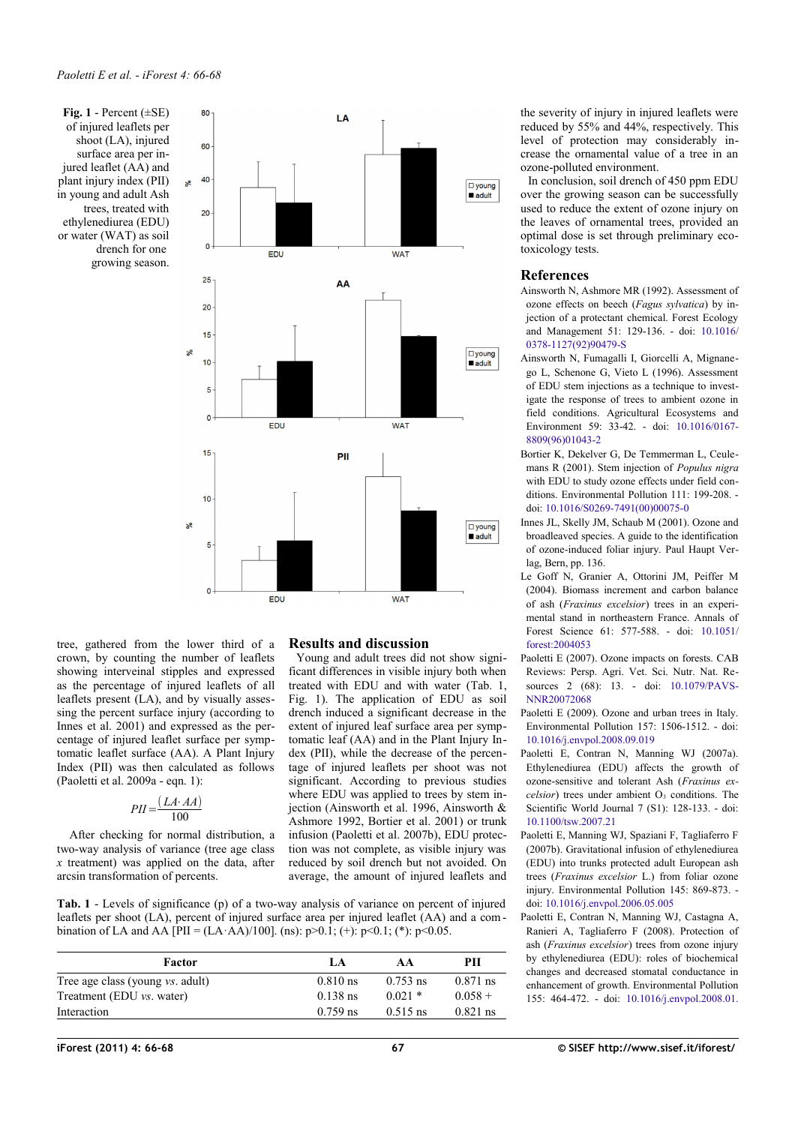<span id="page-1-1"></span>**Fig. 1** - Percent (±SE) of injured leaflets per shoot (LA), injured surface area per injured leaflet (AA) and plant injury index (PII) in young and adult Ash trees, treated with ethylenediurea (EDU) or water (WAT) as soil drench for one growing season.



tree, gathered from the lower third of a crown, by counting the number of leaflets showing interveinal stipples and expressed as the percentage of injured leaflets of all leaflets present (LA), and by visually assessing the percent surface injury (according to Innes et al. 2001) and expressed as the percentage of injured leaflet surface per symptomatic leaflet surface (AA). A Plant Injury Index (PII) was then calculated as follows (Paoletti et al. 2009a - eqn. 1):

$$
PII = \frac{(LA \cdot AA)}{100}
$$

 After checking for normal distribution, a two-way analysis of variance (tree age class *x* treatment) was applied on the data, after arcsin transformation of percents.

## **Results and discussion**

Young and adult trees did not show significant differences in visible injury both when treated with EDU and with water [\(Tab. 1,](#page-1-0) [Fig. 1\)](#page-1-1). The application of EDU as soil drench induced a significant decrease in the extent of injured leaf surface area per symptomatic leaf (AA) and in the Plant Injury Index (PII), while the decrease of the percentage of injured leaflets per shoot was not significant. According to previous studies where EDU was applied to trees by stem injection (Ainsworth et al. 1996, Ainsworth & Ashmore 1992, Bortier et al. 2001) or trunk infusion (Paoletti et al. 2007b), EDU protection was not complete, as visible injury was reduced by soil drench but not avoided. On average, the amount of injured leaflets and

<span id="page-1-0"></span>**Tab. 1** - Levels of significance (p) of a two-way analysis of variance on percent of injured leaflets per shoot (LA), percent of injured surface area per injured leaflet (AA) and a combination of LA and AA [PII =  $(LA \cdot AA)/100$ ]. (ns):  $p > 0.1$ ; (+):  $p < 0.1$ ; (\*):  $p < 0.05$ .

| Factor                                  | LA.        | AA         | PП         |
|-----------------------------------------|------------|------------|------------|
| Tree age class (young <i>vs.</i> adult) | $0.810$ ns | $0.753$ ns | $0.871$ ns |
| Treatment (EDU <i>vs.</i> water)        | $0.138$ ns | $0.021*$   | $0.058 +$  |
| Interaction                             | $0.759$ ns | $0.515$ ns | $0.821$ ns |

the severity of injury in injured leaflets were reduced by 55% and 44%, respectively. This level of protection may considerably increase the ornamental value of a tree in an ozone-polluted environment.

In conclusion, soil drench of 450 ppm EDU over the growing season can be successfully used to reduce the extent of ozone injury on the leaves of ornamental trees, provided an optimal dose is set through preliminary ecotoxicology tests.

#### **References**

- Ainsworth N, Ashmore MR (1992). Assessment of ozone effects on beech (*Fagus sylvatica*) by injection of a protectant chemical. Forest Ecology and Management 51: 129-136. - doi: [10.1016/](http://dx.doi.org/10.1016/0378-1127(92)90479-S) [0378-1127\(92\)90479-S](http://dx.doi.org/10.1016/0378-1127(92)90479-S)
- Ainsworth N, Fumagalli I, Giorcelli A, Mignanego L, Schenone G, Vieto L (1996). Assessment of EDU stem injections as a technique to investigate the response of trees to ambient ozone in field conditions. Agricultural Ecosystems and Environment 59: 33-42. - doi: [10.1016/0167-](http://dx.doi.org/10.1016/0167-8809(96)01043-2) [8809\(96\)01043-2](http://dx.doi.org/10.1016/0167-8809(96)01043-2)
- Bortier K, Dekelver G, De Temmerman L, Ceulemans R (2001). Stem injection of *Populus nigra* with EDU to study ozone effects under field conditions. Environmental Pollution 111: 199-208. doi: [10.1016/S0269-7491\(00\)00075-0](http://dx.doi.org/10.1016/S0269-7491(00)00075-0)
- Innes JL, Skelly JM, Schaub M (2001). Ozone and broadleaved species. A guide to the identification of ozone-induced foliar injury. Paul Haupt Verlag, Bern, pp. 136.
- Le Goff N, Granier A, Ottorini JM, Peiffer M (2004). Biomass increment and carbon balance of ash (*Fraxinus excelsior*) trees in an experimental stand in northeastern France. Annals of Forest Science 61: 577-588. - doi: [10.1051/](http://dx.doi.org/10.1051/forest:2004053) [forest:2004053](http://dx.doi.org/10.1051/forest:2004053)
- Paoletti E (2007). Ozone impacts on forests. CAB Reviews: Persp. Agri. Vet. Sci. Nutr. Nat. Resources 2 (68): 13. - doi: [10.1079/PAVS-](http://dx.doi.org/10.1079/PAVSNNR20072068)**[NNR20072068](http://dx.doi.org/10.1079/PAVSNNR20072068)**
- Paoletti E (2009). Ozone and urban trees in Italy. Environmental Pollution 157: 1506-1512. - doi: [10.1016/j.envpol.2008.09.019](http://dx.doi.org/10.1016/j.envpol.2008.09.019)
- Paoletti E, Contran N, Manning WJ (2007a). Ethylenediurea (EDU) affects the growth of ozone-sensitive and tolerant Ash (*Fraxinus ex-* $\text{celsior}$ ) trees under ambient  $O_3$  conditions. The Scientific World Journal 7 (S1): 128-133. - doi: [10.1100/tsw.2007.21](http://dx.doi.org/10.1100/tsw.2007.21)
- Paoletti E, Manning WJ, Spaziani F, Tagliaferro F (2007b). Gravitational infusion of ethylenediurea (EDU) into trunks protected adult European ash trees (*Fraxinus excelsior* L.) from foliar ozone injury. Environmental Pollution 145: 869-873. doi: [10.1016/j.envpol.2006.05.005](http://dx.doi.org/10.1016/j.envpol.2006.05.005)
- Paoletti E, Contran N, Manning WJ, Castagna A, Ranieri A, Tagliaferro F (2008). Protection of ash (*Fraxinus excelsior*) trees from ozone injury by ethylenediurea (EDU): roles of biochemical changes and decreased stomatal conductance in enhancement of growth. Environmental Pollution 155: 464-472. - doi: [10.1016/j.envpol.2008.01.](http://dx.doi.org/10.1016/j.envpol.2008.01.040)